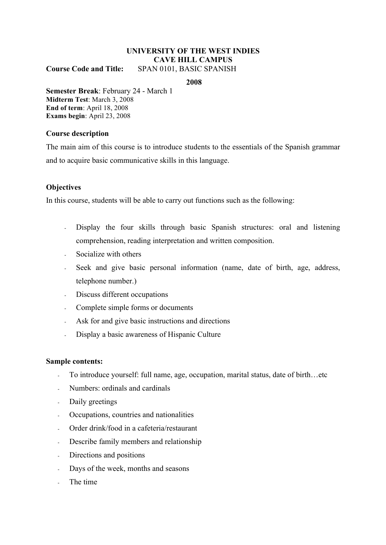# **UNIVERSITY OF THE WEST INDIES CAVE HILL CAMPUS**

**Course Code and Title:** SPAN 0101, BASIC SPANISH

**2008**

**Semester Break**: February 24 - March 1 **Midterm Test**: March 3, 2008 **End of term**: April 18, 2008 **Exams begin**: April 23, 2008

#### **Course description**

The main aim of this course is to introduce students to the essentials of the Spanish grammar and to acquire basic communicative skills in this language.

## **Objectives**

In this course, students will be able to carry out functions such as the following:

- Display the four skills through basic Spanish structures: oral and listening comprehension, reading interpretation and written composition.
- Socialize with others
- Seek and give basic personal information (name, date of birth, age, address, telephone number.)
- Discuss different occupations
- Complete simple forms or documents
- Ask for and give basic instructions and directions
- Display a basic awareness of Hispanic Culture

#### **Sample contents:**

- To introduce yourself: full name, age, occupation, marital status, date of birth…etc
- Numbers: ordinals and cardinals
- Daily greetings
- Occupations, countries and nationalities
- Order drink/food in a cafeteria/restaurant
- Describe family members and relationship
- Directions and positions
- Days of the week, months and seasons
- The time